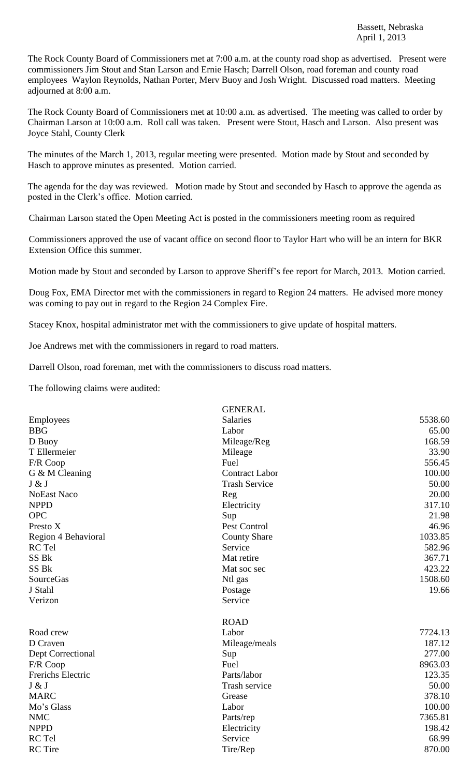The Rock County Board of Commissioners met at 7:00 a.m. at the county road shop as advertised. Present were commissioners Jim Stout and Stan Larson and Ernie Hasch; Darrell Olson, road foreman and county road employees Waylon Reynolds, Nathan Porter, Merv Buoy and Josh Wright. Discussed road matters. Meeting adjourned at 8:00 a.m.

The Rock County Board of Commissioners met at 10:00 a.m. as advertised. The meeting was called to order by Chairman Larson at 10:00 a.m. Roll call was taken. Present were Stout, Hasch and Larson. Also present was Joyce Stahl, County Clerk

The minutes of the March 1, 2013, regular meeting were presented. Motion made by Stout and seconded by Hasch to approve minutes as presented. Motion carried.

The agenda for the day was reviewed. Motion made by Stout and seconded by Hasch to approve the agenda as posted in the Clerk's office. Motion carried.

Chairman Larson stated the Open Meeting Act is posted in the commissioners meeting room as required

Commissioners approved the use of vacant office on second floor to Taylor Hart who will be an intern for BKR Extension Office this summer.

Motion made by Stout and seconded by Larson to approve Sheriff's fee report for March, 2013. Motion carried.

Doug Fox, EMA Director met with the commissioners in regard to Region 24 matters. He advised more money was coming to pay out in regard to the Region 24 Complex Fire.

Stacey Knox, hospital administrator met with the commissioners to give update of hospital matters.

Joe Andrews met with the commissioners in regard to road matters.

Darrell Olson, road foreman, met with the commissioners to discuss road matters.

The following claims were audited:

|                     | <b>GENERAL</b>        |         |
|---------------------|-----------------------|---------|
| Employees           | <b>Salaries</b>       | 5538.60 |
| <b>BBG</b>          | Labor                 | 65.00   |
| D Buoy              | Mileage/Reg           | 168.59  |
| T Ellermeier        | Mileage               | 33.90   |
| F/R Coop            | Fuel                  | 556.45  |
| G & M Cleaning      | <b>Contract Labor</b> | 100.00  |
| J & J               | <b>Trash Service</b>  | 50.00   |
| <b>NoEast Naco</b>  | Reg                   | 20.00   |
| <b>NPPD</b>         | Electricity           | 317.10  |
| <b>OPC</b>          | Sup                   | 21.98   |
| Presto X            | Pest Control          | 46.96   |
| Region 4 Behavioral | <b>County Share</b>   | 1033.85 |
| RC Tel              | Service               | 582.96  |
| SS Bk               | Mat retire            | 367.71  |
| SS Bk               | Mat soc sec           | 423.22  |
| <b>SourceGas</b>    | Ntl gas               | 1508.60 |
| J Stahl             | Postage               | 19.66   |
| Verizon             | Service               |         |
|                     | <b>ROAD</b>           |         |
| Road crew           | Labor                 | 7724.13 |
| D Craven            | Mileage/meals         | 187.12  |
| Dept Correctional   | Sup                   | 277.00  |
| F/R Coop            | Fuel                  | 8963.03 |
| Frerichs Electric   | Parts/labor           | 123.35  |
| J & J               | Trash service         | 50.00   |
| <b>MARC</b>         | Grease                | 378.10  |
| Mo's Glass          | Labor                 | 100.00  |
| <b>NMC</b>          | Parts/rep             | 7365.81 |
| <b>NPPD</b>         | Electricity           | 198.42  |
| RC Tel              | Service               | 68.99   |
| <b>RC</b> Tire      | Tire/Rep              | 870.00  |